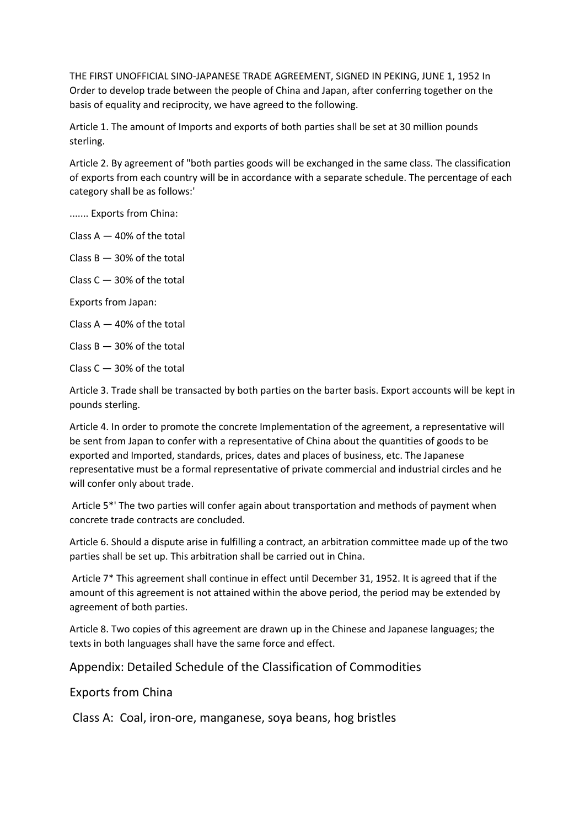THE FIRST UNOFFICIAL SINO-JAPANESE TRADE AGREEMENT, SIGNED IN PEKING, JUNE 1, 1952 In Order to develop trade between the people of China and Japan, after conferring together on the basis of equality and reciprocity, we have agreed to the following.

Article 1. The amount of Imports and exports of both parties shall be set at 30 million pounds sterling.

Article 2. By agreement of "both parties goods will be exchanged in the same class. The classification of exports from each country will be in accordance with a separate schedule. The percentage of each category shall be as follows:'

....... Exports from China:

Class  $A - 40\%$  of the total

Class  $B - 30%$  of the total

Class  $C - 30\%$  of the total

Exports from Japan:

Class  $A - 40\%$  of the total

Class  $B - 30%$  of the total

Class  $C - 30\%$  of the total

Article 3. Trade shall be transacted by both parties on the barter basis. Export accounts will be kept in pounds sterling.

Article 4. In order to promote the concrete Implementation of the agreement, a representative will be sent from Japan to confer with a representative of China about the quantities of goods to be exported and Imported, standards, prices, dates and places of business, etc. The Japanese representative must be a formal representative of private commercial and industrial circles and he will confer only about trade.

Article 5\*' The two parties will confer again about transportation and methods of payment when concrete trade contracts are concluded.

Article 6. Should a dispute arise in fulfilling a contract, an arbitration committee made up of the two parties shall be set up. This arbitration shall be carried out in China.

Article 7\* This agreement shall continue in effect until December 31, 1952. It is agreed that if the amount of this agreement is not attained within the above period, the period may be extended by agreement of both parties.

Article 8. Two copies of this agreement are drawn up in the Chinese and Japanese languages; the texts in both languages shall have the same force and effect.

Appendix: Detailed Schedule of the Classification of Commodities

Exports from China

Class A: Coal, iron-ore, manganese, soya beans, hog bristles